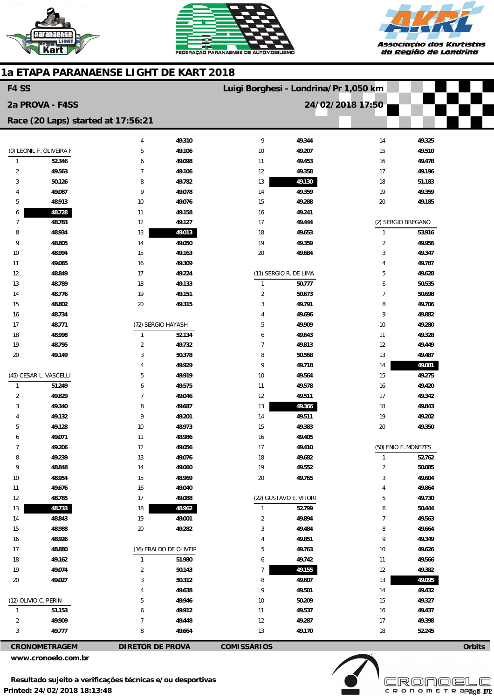





## **1a ETAPA PARANAENSE LIGHT DE KART 2018**

| F4 SS                    |                      |                                    |        | Luigi Borghesi - Londrina/Pr 1,050 km |        |                      |        |        |
|--------------------------|----------------------|------------------------------------|--------|---------------------------------------|--------|----------------------|--------|--------|
| 2a PROVA - F4SS          |                      |                                    |        |                                       |        | 24/02/2018 17:50     |        |        |
|                          |                      | Race (20 Laps) started at 17:56:21 |        |                                       |        |                      |        |        |
|                          |                      | 4                                  | 49.310 | 9                                     | 49.344 | 14                   | 49.325 |        |
| (0) LEONIL F. OLIVEIRA F |                      | 5                                  | 49.106 | $10$                                  | 49.207 | 15                   | 49.510 |        |
| $\mathbf{1}$             | 52.346               | 6                                  | 49.098 | 11                                    | 49.453 | 16                   | 49.478 |        |
| $\overline{2}$           | 49.563               | $\overline{7}$                     | 49.106 | 12                                    | 49.358 | 17                   | 49.196 |        |
| 3                        | 50.126               | 8                                  | 49.782 | 13                                    | 49.130 | 18                   | 51.183 |        |
| 4                        | 49.087               | 9                                  | 49.078 | 14                                    | 49.359 | 19                   | 49.359 |        |
| 5                        | 48.913               | $10$                               | 49.076 | 15                                    | 49.288 | 20                   | 49.185 |        |
| 6                        | 48.728               | 11                                 | 49.158 | 16                                    | 49.241 |                      |        |        |
| 7                        | 48.783               | 12                                 | 49.127 | 17                                    | 49.444 | (2) SERGIO BREGANO   |        |        |
| 8                        | 48.934               | 13                                 | 49.013 | 18                                    | 49.653 | $\mathbf{1}$         | 53.916 |        |
| 9                        | 48.805               | 14                                 | 49.050 | 19                                    | 49.359 | $\overline{2}$       | 49.956 |        |
| 10                       | 48.994               | 15                                 | 49.163 | 20                                    | 49.684 | 3                    | 49.347 |        |
| 11                       | 49.085               | 16                                 | 49.309 |                                       |        | 4                    | 49.787 |        |
| 12                       | 48.849               | 17                                 | 49.224 | (11) SERGIO R. DE LIMA                |        | 5                    | 49.628 |        |
| 13                       | 48.789               | 18                                 | 49.133 | $\mathbf{1}$                          | 50.777 | 6                    | 50.535 |        |
| 14                       | 48.776               | 19                                 | 49.151 | $\overline{2}$                        | 50.673 | 7                    | 50.698 |        |
| 15                       | 48.802               | 20                                 | 49.315 | 3                                     | 49.791 | 8                    | 49.706 |        |
| 16                       | 48.734               |                                    |        | 4                                     | 49.696 | 9                    | 49.882 |        |
| 17                       | 48.771               | (72) SERGIO HAYASH                 |        | 5                                     | 49.909 | 10                   | 49.280 |        |
| 18                       | 48.998               | $\mathbf{1}$                       | 52.134 | 6                                     | 49.643 | 11                   | 49.328 |        |
| 19                       | 48.795               | $\overline{2}$                     | 49.732 | $\overline{7}$                        | 49.813 | 12                   | 49.449 |        |
| 20                       | 49.149               | 3                                  | 50.378 | 8                                     | 50.568 | 13                   | 49.487 |        |
|                          |                      | 4                                  | 49.929 | 9                                     | 49.718 | 14                   | 49.081 |        |
| (45) CESAR L. VASCELLI   |                      | 5                                  | 49.919 | $10\,$                                | 49.564 | 15                   | 49.275 |        |
| $\mathbf{1}$             | 51.249               | 6                                  | 49.575 | 11                                    | 49.578 | 16                   | 49.420 |        |
| $\overline{2}$           | 49.829               | $\overline{7}$                     | 49.046 | 12                                    | 49.511 | 17                   | 49.342 |        |
| 3                        | 49.340               | 8                                  | 49.687 | 13                                    | 49.366 | 18                   | 49.843 |        |
| 4                        | 49.132               | 9                                  | 49.201 | 14                                    | 49.511 | 19                   | 49.202 |        |
| 5                        | 49.128               | 10                                 | 48.973 | 15                                    | 49.383 | 20                   | 49.350 |        |
| 6                        | 49.071               | 11                                 | 48.986 | 16                                    | 49.405 |                      |        |        |
| $\overline{7}$           | 49.206               | 12                                 | 49.056 | 17                                    | 49.410 | (50) ENIO F. MONEZES |        |        |
| 8                        | 49.239               | 13                                 | 49.076 | $18\,$                                | 49.682 | $\mathbf{1}$         | 52.762 |        |
| 9                        | 48.848               | 14                                 | 49.060 | $19$                                  | 49.552 | $\overline{2}$       | 50.085 |        |
| 10                       | 48.954               | 15                                 | 48.969 | $20\,$                                | 49.765 | 3                    | 49.604 |        |
| 11                       | 49.676               | 16                                 | 49.040 |                                       |        | 4                    | 49.864 |        |
| 12                       | 48.785               | 17                                 | 49.088 | (22) GUSTAVO E. VITORI                |        | 5                    | 49.730 |        |
| 13                       | 48.733               | $18\,$                             | 48.962 | $\mathbf{1}$                          | 52.799 | 6                    | 50.444 |        |
| 14                       | 48.843               | 19                                 | 49.001 | $\overline{2}$                        | 49.894 | $\overline{7}$       | 49.563 |        |
| 15                       | 48.988               | 20                                 | 49.282 | 3                                     | 49.484 | 8                    | 49.664 |        |
| 16                       | 48.926               |                                    |        | 4                                     | 49.851 | 9                    | 49.349 |        |
| 17                       | 48.880               | (16) ERALDO DE OLIVEIR             |        | 5                                     | 49.763 | 10                   | 49.626 |        |
| 18                       | 49.162               | $\mathbf{1}$                       | 51.980 | 6                                     | 49.742 | 11                   | 49.566 |        |
| 19                       | 49.074               | $\overline{2}$                     | 50.143 | $\overline{7}$                        | 49.155 | 12                   | 49.382 |        |
| 20                       | 49.027               | 3                                  | 50.312 | 8                                     | 49.607 | 13                   | 49.095 |        |
|                          |                      | 4                                  | 49.638 | 9                                     | 49.501 | 14                   | 49.432 |        |
| (12) OLIVIO C. PERIN     |                      | 5                                  | 49.946 | $10\,$                                | 50.209 | 15                   | 49.327 |        |
| $\mathbf{1}$             | 51.153               | 6                                  | 49.912 | 11                                    | 49.537 | 16                   | 49.437 |        |
| $\overline{2}$           | 49.909               | 7                                  | 49.448 | 12                                    | 49.287 | 17                   | 49.398 |        |
| 3                        | 49.777               | 8                                  | 49.664 | 13                                    | 49.170 | 18                   | 52.245 |        |
|                          | <b>CRONOMETRAGEM</b> | <b>DIRETOR DE PROVA</b>            |        | <b>COMISSÁRIOS</b>                    |        |                      |        | Orbits |

**www.cronoelo.com.br**